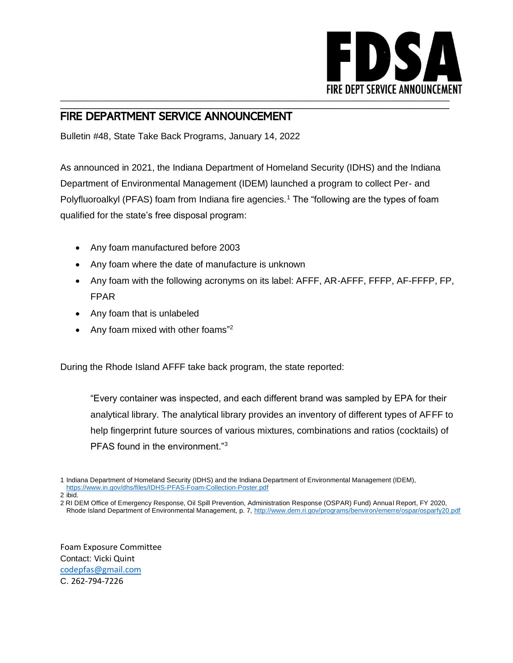

## FIRE DEPARTMENT SERVICE ANNOUNCEMENT

Bulletin #48, State Take Back Programs, January 14, 2022

As announced in 2021, the Indiana Department of Homeland Security (IDHS) and the Indiana Department of Environmental Management (IDEM) launched a program to collect Per- and Polyfluoroalkyl (PFAS) foam from Indiana fire agencies.<sup>1</sup> The "following are the types of foam qualified for the state's free disposal program:

\_\_\_\_\_\_\_\_\_\_\_\_\_\_\_\_\_\_\_\_\_\_\_\_\_\_\_\_\_\_\_\_\_\_\_\_\_\_\_\_\_\_\_\_\_\_\_\_\_\_\_\_\_\_\_\_\_\_\_\_\_\_\_\_\_\_\_\_\_\_\_\_\_\_\_\_\_\_\_\_\_\_\_\_\_\_\_\_\_\_\_\_\_\_\_\_\_\_\_\_\_\_\_\_\_\_\_\_\_\_\_\_\_\_\_\_

- Any foam manufactured before 2003
- Any foam where the date of manufacture is unknown
- Any foam with the following acronyms on its label: AFFF, AR-AFFF, FFFP, AF-FFFP, FP, FPAR
- Any foam that is unlabeled
- Any foam mixed with other foams"<sup>2</sup>

During the Rhode Island AFFF take back program, the state reported:

"Every container was inspected, and each different brand was sampled by EPA for their analytical library. The analytical library provides an inventory of different types of AFFF to help fingerprint future sources of various mixtures, combinations and ratios (cocktails) of PFAS found in the environment."<sup>3</sup>

2 RI DEM Office of Emergency Response, Oil Spill Prevention, Administration Response (OSPAR) Fund) Annual Report, FY 2020, Rhode Island Department of Environmental Management, p. 7,<http://www.dem.ri.gov/programs/benviron/emerre/ospar/osparfy20.pdf>

Foam Exposure Committee Contact: Vicki Quint [codepfas@gmail.com](mailto:codepfas@gmail.com) C. 262-794-7226

<sup>1</sup> Indiana Department of Homeland Security (IDHS) and the Indiana Department of Environmental Management (IDEM), <https://www.in.gov/dhs/files/IDHS-PFAS-Foam-Collection-Poster.pdf>

<sup>2</sup> ibid.